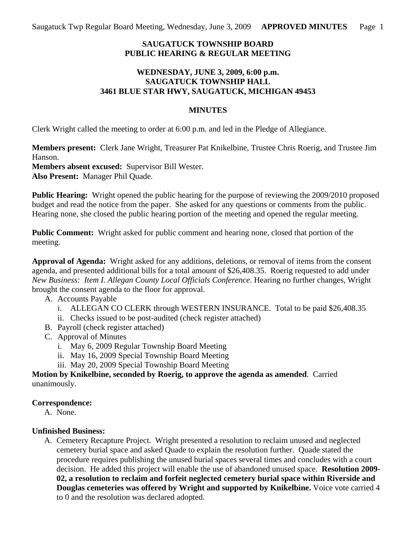# **SAUGATUCK TOWNSHIP BOARD PUBLIC HEARING & REGULAR MEETING**

### **WEDNESDAY, JUNE 3, 2009, 6:00 p.m. SAUGATUCK TOWNSHIP HALL 3461 BLUE STAR HWY, SAUGATUCK, MICHIGAN 49453**

### **MINUTES**

Clerk Wright called the meeting to order at 6:00 p.m. and led in the Pledge of Allegiance.

**Members present:** Clerk Jane Wright, Treasurer Pat Knikelbine, Trustee Chris Roerig, and Trustee Jim Hanson.

**Members absent excused:** Supervisor Bill Wester.

**Also Present:** Manager Phil Quade.

**Public Hearing:** Wright opened the public hearing for the purpose of reviewing the 2009/2010 proposed budget and read the notice from the paper. She asked for any questions or comments from the public. Hearing none, she closed the public hearing portion of the meeting and opened the regular meeting.

**Public Comment:** Wright asked for public comment and hearing none, closed that portion of the meeting.

**Approval of Agenda:** Wright asked for any additions, deletions, or removal of items from the consent agenda, and presented additional bills for a total amount of \$26,408.35. Roerig requested to add under *New Business: Item I. Allegan County Local Officials Conference*. Hearing no further changes, Wright brought the consent agenda to the floor for approval.

- A. Accounts Payable
	- i. ALLEGAN CO CLERK through WESTERN INSURANCE. Total to be paid \$26,408.35
	- ii. Checks issued to be post-audited (check register attached)
- B. Payroll (check register attached)
- C. Approval of Minutes
	- i. May 6, 2009 Regular Township Board Meeting
	- ii. May 16, 2009 Special Township Board Meeting
	- iii. May 20, 2009 Special Township Board Meeting

**Motion by Knikelbine, seconded by Roerig, to approve the agenda as amended**. Carried unanimously.

## **Correspondence:**

A. None.

## **Unfinished Business:**

A. Cemetery Recapture Project. Wright presented a resolution to reclaim unused and neglected cemetery burial space and asked Quade to explain the resolution further. Quade stated the procedure requires publishing the unused burial spaces several times and concludes with a court decision. He added this project will enable the use of abandoned unused space. **Resolution 2009- 02, a resolution to reclaim and forfeit neglected cemetery burial space within Riverside and Douglas cemeteries was offered by Wright and supported by Knikelbine.** Voice vote carried 4 to 0 and the resolution was declared adopted.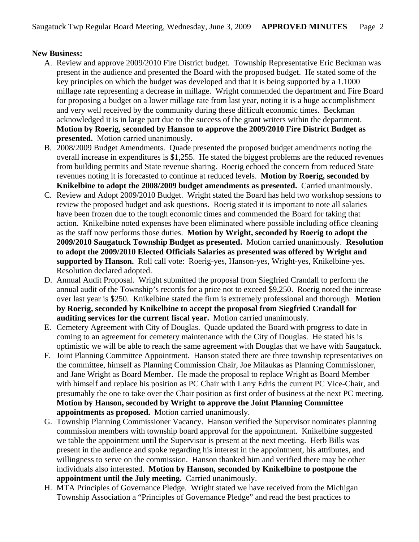### **New Business:**

- A. Review and approve 2009/2010 Fire District budget. Township Representative Eric Beckman was present in the audience and presented the Board with the proposed budget. He stated some of the key principles on which the budget was developed and that it is being supported by a 1.1000 millage rate representing a decrease in millage. Wright commended the department and Fire Board for proposing a budget on a lower millage rate from last year, noting it is a huge accomplishment and very well received by the community during these difficult economic times. Beckman acknowledged it is in large part due to the success of the grant writers within the department. **Motion by Roerig, seconded by Hanson to approve the 2009/2010 Fire District Budget as presented.** Motion carried unanimously.
- B. 2008/2009 Budget Amendments. Quade presented the proposed budget amendments noting the overall increase in expenditures is \$1,255. He stated the biggest problems are the reduced revenues from building permits and State revenue sharing. Roerig echoed the concern from reduced State revenues noting it is forecasted to continue at reduced levels. **Motion by Roerig, seconded by Knikelbine to adopt the 2008/2009 budget amendments as presented.** Carried unanimously.
- C. Review and Adopt 2009/2010 Budget. Wright stated the Board has held two workshop sessions to review the proposed budget and ask questions. Roerig stated it is important to note all salaries have been frozen due to the tough economic times and commended the Board for taking that action. Knikelbine noted expenses have been eliminated where possible including office cleaning as the staff now performs those duties. **Motion by Wright, seconded by Roerig to adopt the 2009/2010 Saugatuck Township Budget as presented.** Motion carried unanimously. **Resolution to adopt the 2009/2010 Elected Officials Salaries as presented was offered by Wright and supported by Hanson.** Roll call vote: Roerig-yes, Hanson-yes, Wright-yes, Knikelbine-yes. Resolution declared adopted.
- D. Annual Audit Proposal. Wright submitted the proposal from Siegfried Crandall to perform the annual audit of the Township's records for a price not to exceed \$9,250. Roerig noted the increase over last year is \$250. Knikelbine stated the firm is extremely professional and thorough. **Motion by Roerig, seconded by Knikelbine to accept the proposal from Siegfried Crandall for auditing services for the current fiscal year.** Motion carried unanimously.
- E. Cemetery Agreement with City of Douglas. Quade updated the Board with progress to date in coming to an agreement for cemetery maintenance with the City of Douglas. He stated his is optimistic we will be able to reach the same agreement with Douglas that we have with Saugatuck.
- F. Joint Planning Committee Appointment. Hanson stated there are three township representatives on the committee, himself as Planning Commission Chair, Joe Milaukas as Planning Commissioner, and Jane Wright as Board Member. He made the proposal to replace Wright as Board Member with himself and replace his position as PC Chair with Larry Edris the current PC Vice-Chair, and presumably the one to take over the Chair position as first order of business at the next PC meeting. **Motion by Hanson, seconded by Wright to approve the Joint Planning Committee appointments as proposed.** Motion carried unanimously.
- G. Township Planning Commissioner Vacancy. Hanson verified the Supervisor nominates planning commission members with township board approval for the appointment. Knikelbine suggested we table the appointment until the Supervisor is present at the next meeting. Herb Bills was present in the audience and spoke regarding his interest in the appointment, his attributes, and willingness to serve on the commission. Hanson thanked him and verified there may be other individuals also interested. **Motion by Hanson, seconded by Knikelbine to postpone the appointment until the July meeting.** Carried unanimously.
- H. MTA Principles of Governance Pledge. Wright stated we have received from the Michigan Township Association a "Principles of Governance Pledge" and read the best practices to